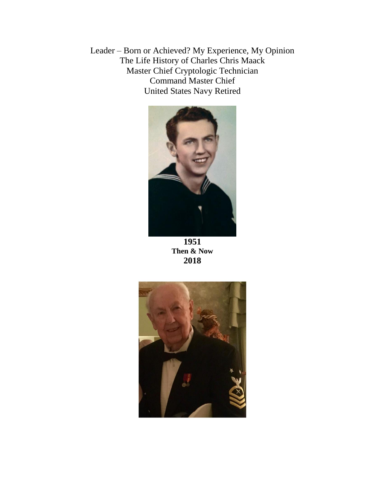Leader – Born or Achieved? My Experience, My Opinion The Life History of Charles Chris Maack Master Chief Cryptologic Technician Command Master Chief United States Navy Retired



**1951 Then & Now 2018**

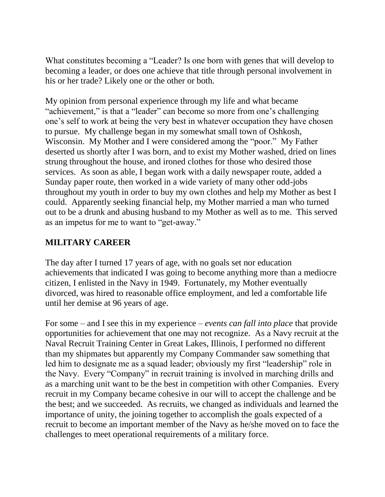What constitutes becoming a "Leader? Is one born with genes that will develop to becoming a leader, or does one achieve that title through personal involvement in his or her trade? Likely one or the other or both.

My opinion from personal experience through my life and what became "achievement," is that a "leader" can become so more from one's challenging one's self to work at being the very best in whatever occupation they have chosen to pursue. My challenge began in my somewhat small town of Oshkosh, Wisconsin. My Mother and I were considered among the "poor." My Father deserted us shortly after I was born, and to exist my Mother washed, dried on lines strung throughout the house, and ironed clothes for those who desired those services. As soon as able, I began work with a daily newspaper route, added a Sunday paper route, then worked in a wide variety of many other odd-jobs throughout my youth in order to buy my own clothes and help my Mother as best I could. Apparently seeking financial help, my Mother married a man who turned out to be a drunk and abusing husband to my Mother as well as to me. This served as an impetus for me to want to "get-away."

#### **MILITARY CAREER**

The day after I turned 17 years of age, with no goals set nor education achievements that indicated I was going to become anything more than a mediocre citizen, I enlisted in the Navy in 1949. Fortunately, my Mother eventually divorced, was hired to reasonable office employment, and led a comfortable life until her demise at 96 years of age.

For some – and I see this in my experience – *events can fall into place* that provide opportunities for achievement that one may not recognize. As a Navy recruit at the Naval Recruit Training Center in Great Lakes, Illinois, I performed no different than my shipmates but apparently my Company Commander saw something that led him to designate me as a squad leader; obviously my first "leadership" role in the Navy. Every "Company" in recruit training is involved in marching drills and as a marching unit want to be the best in competition with other Companies. Every recruit in my Company became cohesive in our will to accept the challenge and be the best; and we succeeded. As recruits, we changed as individuals and learned the importance of unity, the joining together to accomplish the goals expected of a recruit to become an important member of the Navy as he/she moved on to face the challenges to meet operational requirements of a military force.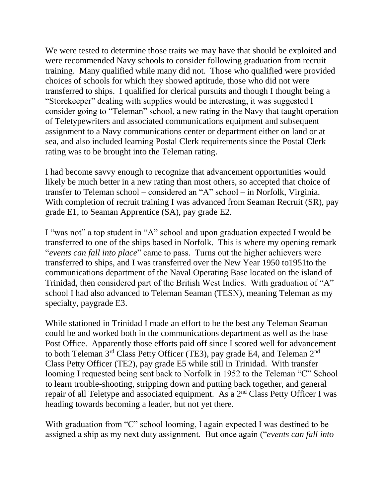We were tested to determine those traits we may have that should be exploited and were recommended Navy schools to consider following graduation from recruit training. Many qualified while many did not. Those who qualified were provided choices of schools for which they showed aptitude, those who did not were transferred to ships. I qualified for clerical pursuits and though I thought being a "Storekeeper" dealing with supplies would be interesting, it was suggested I consider going to "Teleman" school, a new rating in the Navy that taught operation of Teletypewriters and associated communications equipment and subsequent assignment to a Navy communications center or department either on land or at sea, and also included learning Postal Clerk requirements since the Postal Clerk rating was to be brought into the Teleman rating.

I had become savvy enough to recognize that advancement opportunities would likely be much better in a new rating than most others, so accepted that choice of transfer to Teleman school – considered an "A" school – in Norfolk, Virginia. With completion of recruit training I was advanced from Seaman Recruit (SR), pay grade E1, to Seaman Apprentice (SA), pay grade E2.

I "was not" a top student in "A" school and upon graduation expected I would be transferred to one of the ships based in Norfolk. This is where my opening remark "*events can fall into place*" came to pass. Turns out the higher achievers were transferred to ships, and I was transferred over the New Year 1950 to1951to the communications department of the Naval Operating Base located on the island of Trinidad, then considered part of the British West Indies. With graduation of "A" school I had also advanced to Teleman Seaman (TESN), meaning Teleman as my specialty, paygrade E3.

While stationed in Trinidad I made an effort to be the best any Teleman Seaman could be and worked both in the communications department as well as the base Post Office. Apparently those efforts paid off since I scored well for advancement to both Teleman 3<sup>rd</sup> Class Petty Officer (TE3), pay grade E4, and Teleman 2<sup>nd</sup> Class Petty Officer (TE2), pay grade E5 while still in Trinidad. With transfer looming I requested being sent back to Norfolk in 1952 to the Teleman "C" School to learn trouble-shooting, stripping down and putting back together, and general repair of all Teletype and associated equipment. As a 2nd Class Petty Officer I was heading towards becoming a leader, but not yet there.

With graduation from "C" school looming, I again expected I was destined to be assigned a ship as my next duty assignment. But once again ("*events can fall into*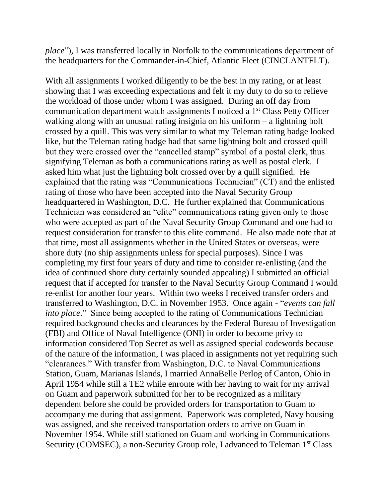*place*")*,* I was transferred locally in Norfolk to the communications department of the headquarters for the Commander-in-Chief, Atlantic Fleet (CINCLANTFLT).

With all assignments I worked diligently to be the best in my rating, or at least showing that I was exceeding expectations and felt it my duty to do so to relieve the workload of those under whom I was assigned. During an off day from communication department watch assignments I noticed a 1st Class Petty Officer walking along with an unusual rating insignia on his uniform – a lightning bolt crossed by a quill. This was very similar to what my Teleman rating badge looked like, but the Teleman rating badge had that same lightning bolt and crossed quill but they were crossed over the "cancelled stamp" symbol of a postal clerk, thus signifying Teleman as both a communications rating as well as postal clerk. I asked him what just the lightning bolt crossed over by a quill signified. He explained that the rating was "Communications Technician" (CT) and the enlisted rating of those who have been accepted into the Naval Security Group headquartered in Washington, D.C. He further explained that Communications Technician was considered an "elite" communications rating given only to those who were accepted as part of the Naval Security Group Command and one had to request consideration for transfer to this elite command. He also made note that at that time, most all assignments whether in the United States or overseas, were shore duty (no ship assignments unless for special purposes). Since I was completing my first four years of duty and time to consider re-enlisting (and the idea of continued shore duty certainly sounded appealing) I submitted an official request that if accepted for transfer to the Naval Security Group Command I would re-enlist for another four years. Within two weeks I received transfer orders and transferred to Washington, D.C. in November 1953. Once again - "*events can fall into place*." Since being accepted to the rating of Communications Technician required background checks and clearances by the Federal Bureau of Investigation (FBI) and Office of Naval Intelligence (ONI) in order to become privy to information considered Top Secret as well as assigned special codewords because of the nature of the information, I was placed in assignments not yet requiring such "clearances." With transfer from Washington, D.C. to Naval Communications Station, Guam, Marianas Islands, I married AnnaBelle Perlog of Canton, Ohio in April 1954 while still a TE2 while enroute with her having to wait for my arrival on Guam and paperwork submitted for her to be recognized as a military dependent before she could be provided orders for transportation to Guam to accompany me during that assignment. Paperwork was completed, Navy housing was assigned, and she received transportation orders to arrive on Guam in November 1954. While still stationed on Guam and working in Communications Security (COMSEC), a non-Security Group role, I advanced to Teleman 1<sup>st</sup> Class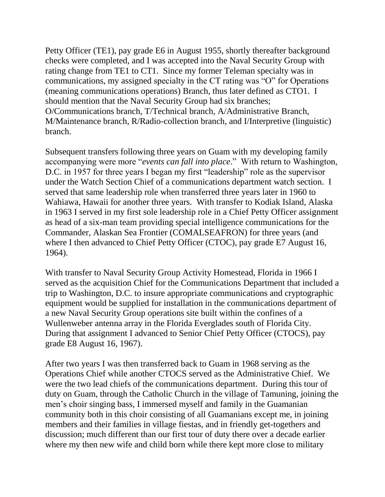Petty Officer (TE1), pay grade E6 in August 1955, shortly thereafter background checks were completed, and I was accepted into the Naval Security Group with rating change from TE1 to CT1. Since my former Teleman specialty was in communications, my assigned specialty in the CT rating was "O" for Operations (meaning communications operations) Branch, thus later defined as CTO1. I should mention that the Naval Security Group had six branches; O/Communications branch, T/Technical branch, A/Administrative Branch, M/Maintenance branch, R/Radio-collection branch, and I/Interpretive (linguistic) branch.

Subsequent transfers following three years on Guam with my developing family accompanying were more "*events can fall into place*." With return to Washington, D.C. in 1957 for three years I began my first "leadership" role as the supervisor under the Watch Section Chief of a communications department watch section. I served that same leadership role when transferred three years later in 1960 to Wahiawa, Hawaii for another three years. With transfer to Kodiak Island, Alaska in 1963 I served in my first sole leadership role in a Chief Petty Officer assignment as head of a six-man team providing special intelligence communications for the Commander, Alaskan Sea Frontier (COMALSEAFRON) for three years (and where I then advanced to Chief Petty Officer (CTOC), pay grade E7 August 16, 1964).

With transfer to Naval Security Group Activity Homestead, Florida in 1966 I served as the acquisition Chief for the Communications Department that included a trip to Washington, D.C. to insure appropriate communications and cryptographic equipment would be supplied for installation in the communications department of a new Naval Security Group operations site built within the confines of a Wullenweber antenna array in the Florida Everglades south of Florida City. During that assignment I advanced to Senior Chief Petty Officer (CTOCS), pay grade E8 August 16, 1967).

After two years I was then transferred back to Guam in 1968 serving as the Operations Chief while another CTOCS served as the Administrative Chief. We were the two lead chiefs of the communications department. During this tour of duty on Guam, through the Catholic Church in the village of Tamuning, joining the men's choir singing bass, I immersed myself and family in the Guamanian community both in this choir consisting of all Guamanians except me, in joining members and their families in village fiestas, and in friendly get-togethers and discussion; much different than our first tour of duty there over a decade earlier where my then new wife and child born while there kept more close to military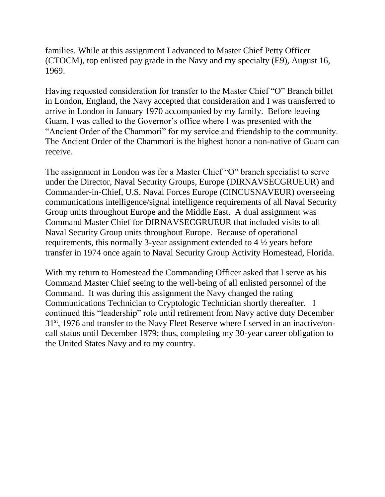families. While at this assignment I advanced to Master Chief Petty Officer (CTOCM), top enlisted pay grade in the Navy and my specialty (E9), August 16, 1969.

Having requested consideration for transfer to the Master Chief "O" Branch billet in London, England, the Navy accepted that consideration and I was transferred to arrive in London in January 1970 accompanied by my family. Before leaving Guam, I was called to the Governor's office where I was presented with the "Ancient Order of the Chammori" for my service and friendship to the community. The Ancient Order of the Chammori is the highest honor a non-native of Guam can receive.

The assignment in London was for a Master Chief "O" branch specialist to serve under the Director, Naval Security Groups, Europe (DIRNAVSECGRUEUR) and Commander-in-Chief, U.S. Naval Forces Europe (CINCUSNAVEUR) overseeing communications intelligence/signal intelligence requirements of all Naval Security Group units throughout Europe and the Middle East. A dual assignment was Command Master Chief for DIRNAVSECGRUEUR that included visits to all Naval Security Group units throughout Europe. Because of operational requirements, this normally 3-year assignment extended to 4 ½ years before transfer in 1974 once again to Naval Security Group Activity Homestead, Florida.

With my return to Homestead the Commanding Officer asked that I serve as his Command Master Chief seeing to the well-being of all enlisted personnel of the Command. It was during this assignment the Navy changed the rating Communications Technician to Cryptologic Technician shortly thereafter. I continued this "leadership" role until retirement from Navy active duty December 31st, 1976 and transfer to the Navy Fleet Reserve where I served in an inactive/oncall status until December 1979; thus, completing my 30-year career obligation to the United States Navy and to my country.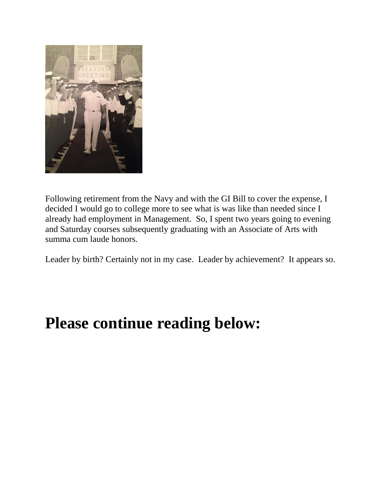

Following retirement from the Navy and with the GI Bill to cover the expense, I decided I would go to college more to see what is was like than needed since I already had employment in Management. So, I spent two years going to evening and Saturday courses subsequently graduating with an Associate of Arts with summa cum laude honors.

Leader by birth? Certainly not in my case. Leader by achievement? It appears so.

# **Please continue reading below:**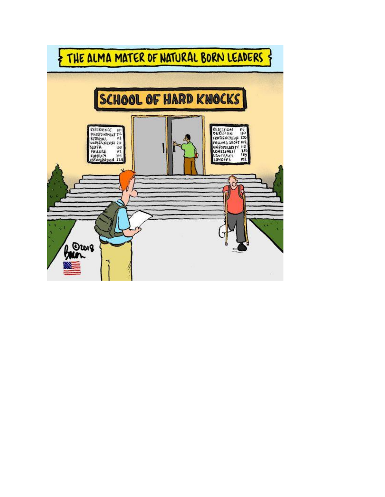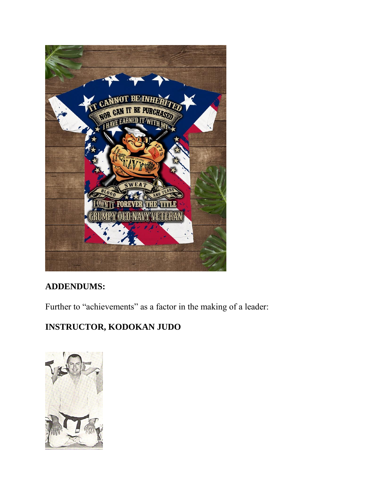

## **ADDENDUMS:**

Further to "achievements" as a factor in the making of a leader:

# **INSTRUCTOR, KODOKAN JUDO**

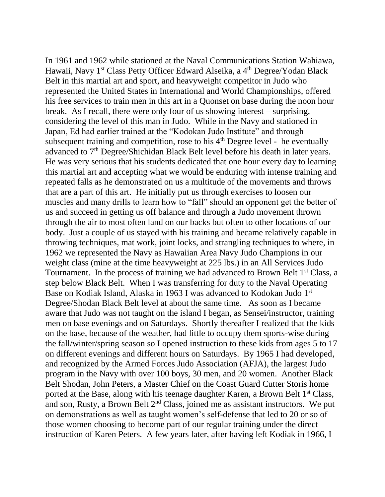In 1961 and 1962 while stationed at the Naval Communications Station Wahiawa, Hawaii, Navy 1<sup>st</sup> Class Petty Officer Edward Alseika, a <sup>4th</sup> Degree/Yodan Black Belt in this martial art and sport, and heavyweight competitor in Judo who represented the United States in International and World Championships, offered his free services to train men in this art in a Quonset on base during the noon hour break. As I recall, there were only four of us showing interest – surprising, considering the level of this man in Judo. While in the Navy and stationed in Japan, Ed had earlier trained at the "Kodokan Judo Institute" and through subsequent training and competition, rose to his  $4<sup>th</sup>$  Degree level - he eventually advanced to 7<sup>th</sup> Degree/Shichidan Black Belt level before his death in later years. He was very serious that his students dedicated that one hour every day to learning this martial art and accepting what we would be enduring with intense training and repeated falls as he demonstrated on us a multitude of the movements and throws that are a part of this art. He initially put us through exercises to loosen our muscles and many drills to learn how to "fall" should an opponent get the better of us and succeed in getting us off balance and through a Judo movement thrown through the air to most often land on our backs but often to other locations of our body. Just a couple of us stayed with his training and became relatively capable in throwing techniques, mat work, joint locks, and strangling techniques to where, in 1962 we represented the Navy as Hawaiian Area Navy Judo Champions in our weight class (mine at the time heavyweight at 225 lbs.) in an All Services Judo Tournament. In the process of training we had advanced to Brown Belt 1<sup>st</sup> Class, a step below Black Belt. When I was transferring for duty to the Naval Operating Base on Kodiak Island, Alaska in 1963 I was advanced to Kodokan Judo 1st Degree/Shodan Black Belt level at about the same time. As soon as I became aware that Judo was not taught on the island I began, as Sensei/instructor, training men on base evenings and on Saturdays. Shortly thereafter I realized that the kids on the base, because of the weather, had little to occupy them sports-wise during the fall/winter/spring season so I opened instruction to these kids from ages 5 to 17 on different evenings and different hours on Saturdays. By 1965 I had developed, and recognized by the Armed Forces Judo Association (AFJA), the largest Judo program in the Navy with over 100 boys, 30 men, and 20 women. Another Black Belt Shodan, John Peters, a Master Chief on the Coast Guard Cutter Storis home ported at the Base, along with his teenage daughter Karen, a Brown Belt 1<sup>st</sup> Class, and son, Rusty, a Brown Belt 2nd Class, joined me as assistant instructors. We put on demonstrations as well as taught women's self-defense that led to 20 or so of those women choosing to become part of our regular training under the direct instruction of Karen Peters. A few years later, after having left Kodiak in 1966, I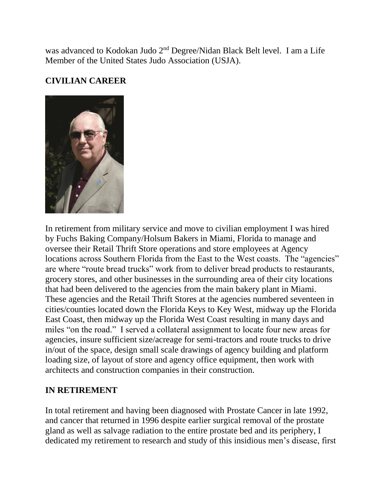was advanced to Kodokan Judo 2<sup>nd</sup> Degree/Nidan Black Belt level. I am a Life Member of the United States Judo Association (USJA).

#### **CIVILIAN CAREER**



In retirement from military service and move to civilian employment I was hired by Fuchs Baking Company/Holsum Bakers in Miami, Florida to manage and oversee their Retail Thrift Store operations and store employees at Agency locations across Southern Florida from the East to the West coasts. The "agencies" are where "route bread trucks" work from to deliver bread products to restaurants, grocery stores, and other businesses in the surrounding area of their city locations that had been delivered to the agencies from the main bakery plant in Miami. These agencies and the Retail Thrift Stores at the agencies numbered seventeen in cities/counties located down the Florida Keys to Key West, midway up the Florida East Coast, then midway up the Florida West Coast resulting in many days and miles "on the road." I served a collateral assignment to locate four new areas for agencies, insure sufficient size/acreage for semi-tractors and route trucks to drive in/out of the space, design small scale drawings of agency building and platform loading size, of layout of store and agency office equipment, then work with architects and construction companies in their construction.

#### **IN RETIREMENT**

In total retirement and having been diagnosed with Prostate Cancer in late 1992, and cancer that returned in 1996 despite earlier surgical removal of the prostate gland as well as salvage radiation to the entire prostate bed and its periphery, I dedicated my retirement to research and study of this insidious men's disease, first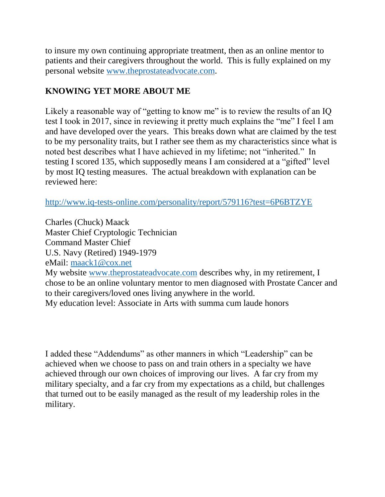to insure my own continuing appropriate treatment, then as an online mentor to patients and their caregivers throughout the world. This is fully explained on my personal website [www.theprostateadvocate.com.](http://www.theprostateadvocate.com/)

### **KNOWING YET MORE ABOUT ME**

Likely a reasonable way of "getting to know me" is to review the results of an IQ test I took in 2017, since in reviewing it pretty much explains the "me" I feel I am and have developed over the years. This breaks down what are claimed by the test to be my personality traits, but I rather see them as my characteristics since what is noted best describes what I have achieved in my lifetime; not "inherited." In testing I scored 135, which supposedly means I am considered at a "gifted" level by most IQ testing measures. The actual breakdown with explanation can be reviewed here:

<http://www.iq-tests-online.com/personality/report/579116?test=6P6BTZYE>

Charles (Chuck) Maack Master Chief Cryptologic Technician Command Master Chief U.S. Navy (Retired) 1949-1979 eMail: [maack1@cox.net](mailto:maack1@cox.net) My website [www.theprostateadvocate.com](http://www.theprostateadvocate.com/) describes why, in my retirement, I chose to be an online voluntary mentor to men diagnosed with Prostate Cancer and to their caregivers/loved ones living anywhere in the world. My education level: Associate in Arts with summa cum laude honors

I added these "Addendums" as other manners in which "Leadership" can be achieved when we choose to pass on and train others in a specialty we have achieved through our own choices of improving our lives. A far cry from my military specialty, and a far cry from my expectations as a child, but challenges that turned out to be easily managed as the result of my leadership roles in the military.